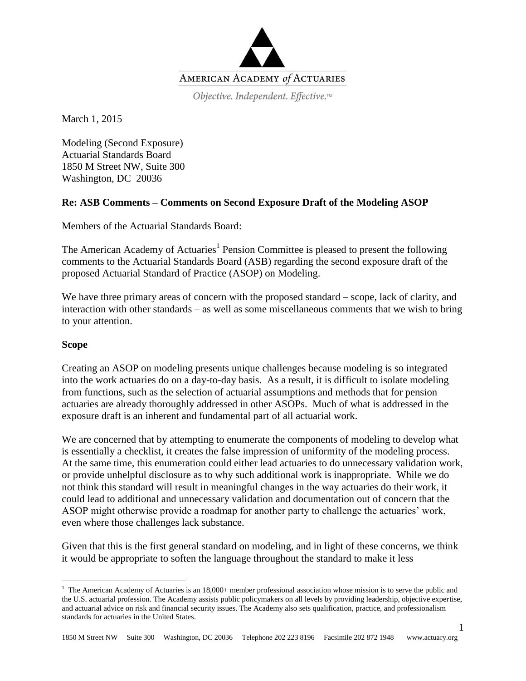

Objective. Independent. Effective.™

March 1, 2015

Modeling (Second Exposure) Actuarial Standards Board 1850 M Street NW, Suite 300 Washington, DC 20036

# **Re: ASB Comments – Comments on Second Exposure Draft of the Modeling ASOP**

Members of the Actuarial Standards Board:

The American Academy of Actuaries<sup>1</sup> Pension Committee is pleased to present the following comments to the Actuarial Standards Board (ASB) regarding the second exposure draft of the proposed Actuarial Standard of Practice (ASOP) on Modeling.

We have three primary areas of concern with the proposed standard – scope, lack of clarity, and interaction with other standards – as well as some miscellaneous comments that we wish to bring to your attention.

## **Scope**

 $\overline{a}$ 

Creating an ASOP on modeling presents unique challenges because modeling is so integrated into the work actuaries do on a day-to-day basis. As a result, it is difficult to isolate modeling from functions, such as the selection of actuarial assumptions and methods that for pension actuaries are already thoroughly addressed in other ASOPs. Much of what is addressed in the exposure draft is an inherent and fundamental part of all actuarial work.

We are concerned that by attempting to enumerate the components of modeling to develop what is essentially a checklist, it creates the false impression of uniformity of the modeling process. At the same time, this enumeration could either lead actuaries to do unnecessary validation work, or provide unhelpful disclosure as to why such additional work is inappropriate. While we do not think this standard will result in meaningful changes in the way actuaries do their work, it could lead to additional and unnecessary validation and documentation out of concern that the ASOP might otherwise provide a roadmap for another party to challenge the actuaries' work, even where those challenges lack substance.

Given that this is the first general standard on modeling, and in light of these concerns, we think it would be appropriate to soften the language throughout the standard to make it less

1

<sup>&</sup>lt;sup>1</sup> The American Academy of Actuaries is an  $18,000+$  member professional association whose mission is to serve the public and the U.S. actuarial profession. The Academy assists public policymakers on all levels by providing leadership, objective expertise, and actuarial advice on risk and financial security issues. The Academy also sets qualification, practice, and professionalism standards for actuaries in the United States.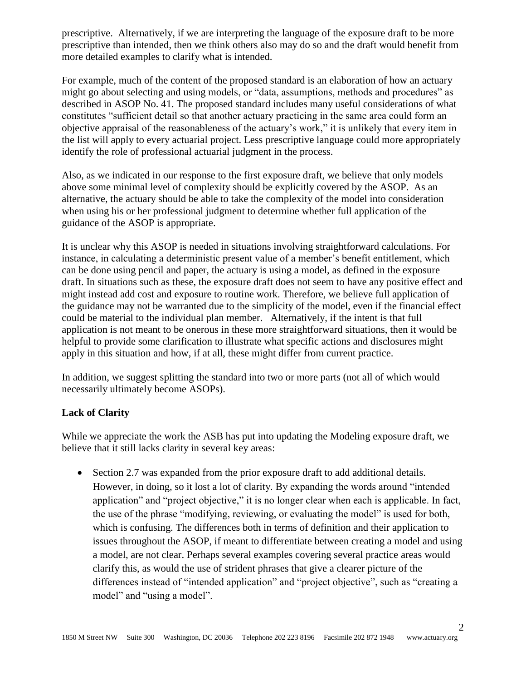prescriptive. Alternatively, if we are interpreting the language of the exposure draft to be more prescriptive than intended, then we think others also may do so and the draft would benefit from more detailed examples to clarify what is intended.

For example, much of the content of the proposed standard is an elaboration of how an actuary might go about selecting and using models, or "data, assumptions, methods and procedures" as described in ASOP No. 41. The proposed standard includes many useful considerations of what constitutes "sufficient detail so that another actuary practicing in the same area could form an objective appraisal of the reasonableness of the actuary's work," it is unlikely that every item in the list will apply to every actuarial project. Less prescriptive language could more appropriately identify the role of professional actuarial judgment in the process.

Also, as we indicated in our response to the first exposure draft, we believe that only models above some minimal level of complexity should be explicitly covered by the ASOP. As an alternative, the actuary should be able to take the complexity of the model into consideration when using his or her professional judgment to determine whether full application of the guidance of the ASOP is appropriate.

It is unclear why this ASOP is needed in situations involving straightforward calculations. For instance, in calculating a deterministic present value of a member's benefit entitlement, which can be done using pencil and paper, the actuary is using a model, as defined in the exposure draft. In situations such as these, the exposure draft does not seem to have any positive effect and might instead add cost and exposure to routine work. Therefore, we believe full application of the guidance may not be warranted due to the simplicity of the model, even if the financial effect could be material to the individual plan member. Alternatively, if the intent is that full application is not meant to be onerous in these more straightforward situations, then it would be helpful to provide some clarification to illustrate what specific actions and disclosures might apply in this situation and how, if at all, these might differ from current practice.

In addition, we suggest splitting the standard into two or more parts (not all of which would necessarily ultimately become ASOPs).

## **Lack of Clarity**

While we appreciate the work the ASB has put into updating the Modeling exposure draft, we believe that it still lacks clarity in several key areas:

 Section 2.7 was expanded from the prior exposure draft to add additional details. However, in doing, so it lost a lot of clarity. By expanding the words around "intended application" and "project objective," it is no longer clear when each is applicable. In fact, the use of the phrase "modifying, reviewing, or evaluating the model" is used for both, which is confusing. The differences both in terms of definition and their application to issues throughout the ASOP, if meant to differentiate between creating a model and using a model, are not clear. Perhaps several examples covering several practice areas would clarify this, as would the use of strident phrases that give a clearer picture of the differences instead of "intended application" and "project objective", such as "creating a model" and "using a model".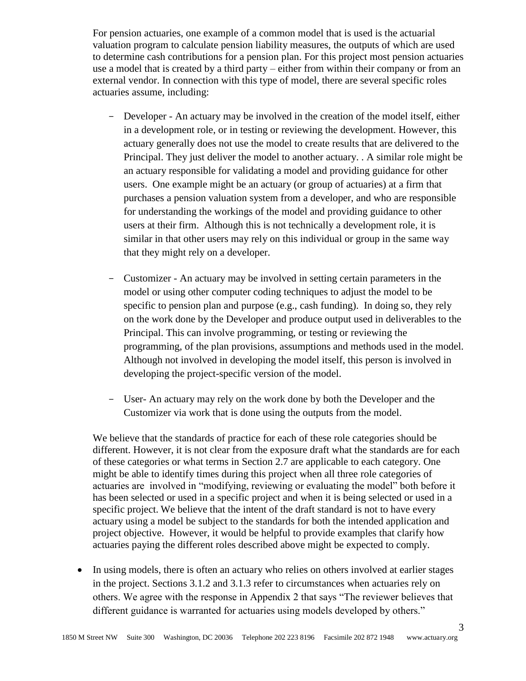For pension actuaries, one example of a common model that is used is the actuarial valuation program to calculate pension liability measures, the outputs of which are used to determine cash contributions for a pension plan. For this project most pension actuaries use a model that is created by a third party – either from within their company or from an external vendor. In connection with this type of model, there are several specific roles actuaries assume, including:

- Developer An actuary may be involved in the creation of the model itself, either in a development role, or in testing or reviewing the development. However, this actuary generally does not use the model to create results that are delivered to the Principal. They just deliver the model to another actuary. . A similar role might be an actuary responsible for validating a model and providing guidance for other users. One example might be an actuary (or group of actuaries) at a firm that purchases a pension valuation system from a developer, and who are responsible for understanding the workings of the model and providing guidance to other users at their firm. Although this is not technically a development role, it is similar in that other users may rely on this individual or group in the same way that they might rely on a developer.
- Customizer An actuary may be involved in setting certain parameters in the model or using other computer coding techniques to adjust the model to be specific to pension plan and purpose (e.g., cash funding). In doing so, they rely on the work done by the Developer and produce output used in deliverables to the Principal. This can involve programming, or testing or reviewing the programming, of the plan provisions, assumptions and methods used in the model. Although not involved in developing the model itself, this person is involved in developing the project-specific version of the model.
- User- An actuary may rely on the work done by both the Developer and the Customizer via work that is done using the outputs from the model.

We believe that the standards of practice for each of these role categories should be different. However, it is not clear from the exposure draft what the standards are for each of these categories or what terms in Section 2.7 are applicable to each category. One might be able to identify times during this project when all three role categories of actuaries are involved in "modifying, reviewing or evaluating the model" both before it has been selected or used in a specific project and when it is being selected or used in a specific project. We believe that the intent of the draft standard is not to have every actuary using a model be subject to the standards for both the intended application and project objective. However, it would be helpful to provide examples that clarify how actuaries paying the different roles described above might be expected to comply.

 In using models, there is often an actuary who relies on others involved at earlier stages in the project. Sections 3.1.2 and 3.1.3 refer to circumstances when actuaries rely on others. We agree with the response in Appendix 2 that says "The reviewer believes that different guidance is warranted for actuaries using models developed by others."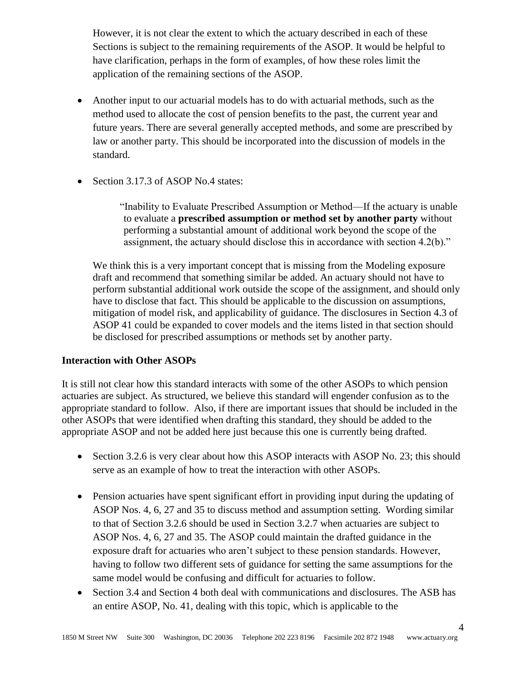However, it is not clear the extent to which the actuary described in each of these Sections is subject to the remaining requirements of the ASOP. It would be helpful to have clarification, perhaps in the form of examples, of how these roles limit the application of the remaining sections of the ASOP.

- Another input to our actuarial models has to do with actuarial methods, such as the method used to allocate the cost of pension benefits to the past, the current year and future years. There are several generally accepted methods, and some are prescribed by law or another party. This should be incorporated into the discussion of models in the standard.
- Section 3.17.3 of ASOP No.4 states:

"Inability to Evaluate Prescribed Assumption or Method—If the actuary is unable to evaluate a **prescribed assumption or method set by another party** without performing a substantial amount of additional work beyond the scope of the assignment, the actuary should disclose this in accordance with section 4.2(b)."

We think this is a very important concept that is missing from the Modeling exposure draft and recommend that something similar be added. An actuary should not have to perform substantial additional work outside the scope of the assignment, and should only have to disclose that fact. This should be applicable to the discussion on assumptions, mitigation of model risk, and applicability of guidance. The disclosures in Section 4.3 of ASOP 41 could be expanded to cover models and the items listed in that section should be disclosed for prescribed assumptions or methods set by another party.

## **Interaction with Other ASOPs**

It is still not clear how this standard interacts with some of the other ASOPs to which pension actuaries are subject. As structured, we believe this standard will engender confusion as to the appropriate standard to follow. Also, if there are important issues that should be included in the other ASOPs that were identified when drafting this standard, they should be added to the appropriate ASOP and not be added here just because this one is currently being drafted.

- Section 3.2.6 is very clear about how this ASOP interacts with ASOP No. 23; this should serve as an example of how to treat the interaction with other ASOPs.
- Pension actuaries have spent significant effort in providing input during the updating of ASOP Nos. 4, 6, 27 and 35 to discuss method and assumption setting. Wording similar to that of Section 3.2.6 should be used in Section 3.2.7 when actuaries are subject to ASOP Nos. 4, 6, 27 and 35. The ASOP could maintain the drafted guidance in the exposure draft for actuaries who aren't subject to these pension standards. However, having to follow two different sets of guidance for setting the same assumptions for the same model would be confusing and difficult for actuaries to follow.
- Section 3.4 and Section 4 both deal with communications and disclosures. The ASB has an entire ASOP, No. 41, dealing with this topic, which is applicable to the

4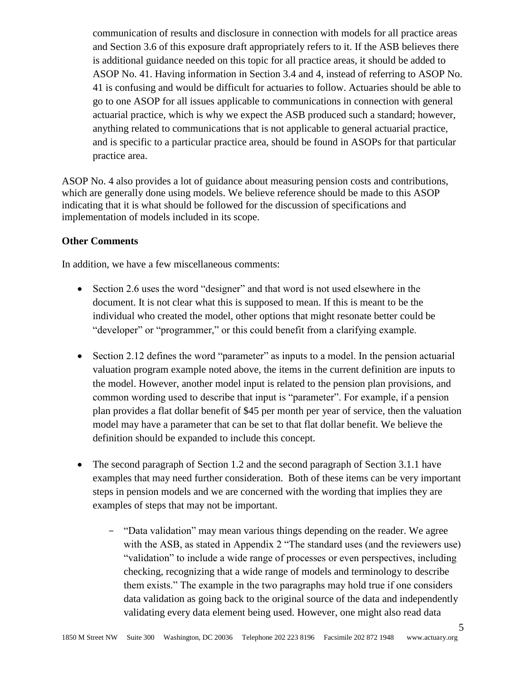communication of results and disclosure in connection with models for all practice areas and Section 3.6 of this exposure draft appropriately refers to it. If the ASB believes there is additional guidance needed on this topic for all practice areas, it should be added to ASOP No. 41. Having information in Section 3.4 and 4, instead of referring to ASOP No. 41 is confusing and would be difficult for actuaries to follow. Actuaries should be able to go to one ASOP for all issues applicable to communications in connection with general actuarial practice, which is why we expect the ASB produced such a standard; however, anything related to communications that is not applicable to general actuarial practice, and is specific to a particular practice area, should be found in ASOPs for that particular practice area.

ASOP No. 4 also provides a lot of guidance about measuring pension costs and contributions, which are generally done using models. We believe reference should be made to this ASOP indicating that it is what should be followed for the discussion of specifications and implementation of models included in its scope.

## **Other Comments**

In addition, we have a few miscellaneous comments:

- Section 2.6 uses the word "designer" and that word is not used elsewhere in the document. It is not clear what this is supposed to mean. If this is meant to be the individual who created the model, other options that might resonate better could be "developer" or "programmer," or this could benefit from a clarifying example.
- Section 2.12 defines the word "parameter" as inputs to a model. In the pension actuarial valuation program example noted above, the items in the current definition are inputs to the model. However, another model input is related to the pension plan provisions, and common wording used to describe that input is "parameter". For example, if a pension plan provides a flat dollar benefit of \$45 per month per year of service, then the valuation model may have a parameter that can be set to that flat dollar benefit. We believe the definition should be expanded to include this concept.
- The second paragraph of Section 1.2 and the second paragraph of Section 3.1.1 have examples that may need further consideration. Both of these items can be very important steps in pension models and we are concerned with the wording that implies they are examples of steps that may not be important.
	- "Data validation" may mean various things depending on the reader. We agree with the ASB, as stated in Appendix 2 "The standard uses (and the reviewers use) "validation" to include a wide range of processes or even perspectives, including checking, recognizing that a wide range of models and terminology to describe them exists." The example in the two paragraphs may hold true if one considers data validation as going back to the original source of the data and independently validating every data element being used. However, one might also read data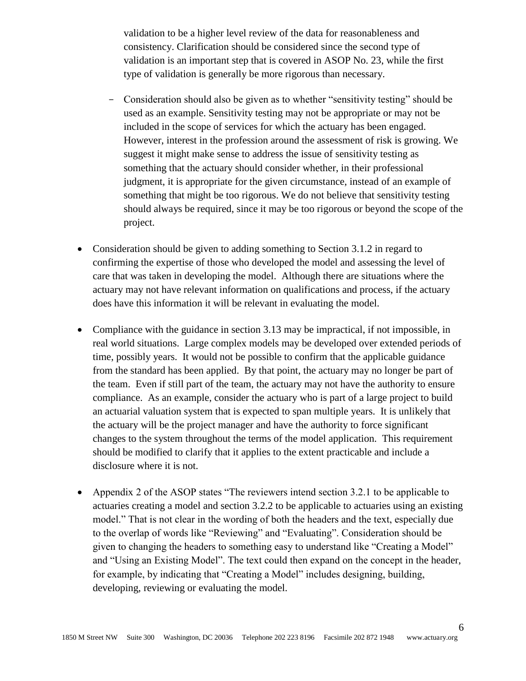validation to be a higher level review of the data for reasonableness and consistency. Clarification should be considered since the second type of validation is an important step that is covered in ASOP No. 23, while the first type of validation is generally be more rigorous than necessary.

- Consideration should also be given as to whether "sensitivity testing" should be used as an example. Sensitivity testing may not be appropriate or may not be included in the scope of services for which the actuary has been engaged. However, interest in the profession around the assessment of risk is growing. We suggest it might make sense to address the issue of sensitivity testing as something that the actuary should consider whether, in their professional judgment, it is appropriate for the given circumstance, instead of an example of something that might be too rigorous. We do not believe that sensitivity testing should always be required, since it may be too rigorous or beyond the scope of the project.
- Consideration should be given to adding something to Section 3.1.2 in regard to confirming the expertise of those who developed the model and assessing the level of care that was taken in developing the model. Although there are situations where the actuary may not have relevant information on qualifications and process, if the actuary does have this information it will be relevant in evaluating the model.
- Compliance with the guidance in section 3.13 may be impractical, if not impossible, in real world situations. Large complex models may be developed over extended periods of time, possibly years. It would not be possible to confirm that the applicable guidance from the standard has been applied. By that point, the actuary may no longer be part of the team. Even if still part of the team, the actuary may not have the authority to ensure compliance. As an example, consider the actuary who is part of a large project to build an actuarial valuation system that is expected to span multiple years. It is unlikely that the actuary will be the project manager and have the authority to force significant changes to the system throughout the terms of the model application. This requirement should be modified to clarify that it applies to the extent practicable and include a disclosure where it is not.
- Appendix 2 of the ASOP states "The reviewers intend section 3.2.1 to be applicable to actuaries creating a model and section 3.2.2 to be applicable to actuaries using an existing model." That is not clear in the wording of both the headers and the text, especially due to the overlap of words like "Reviewing" and "Evaluating". Consideration should be given to changing the headers to something easy to understand like "Creating a Model" and "Using an Existing Model". The text could then expand on the concept in the header, for example, by indicating that "Creating a Model" includes designing, building, developing, reviewing or evaluating the model.